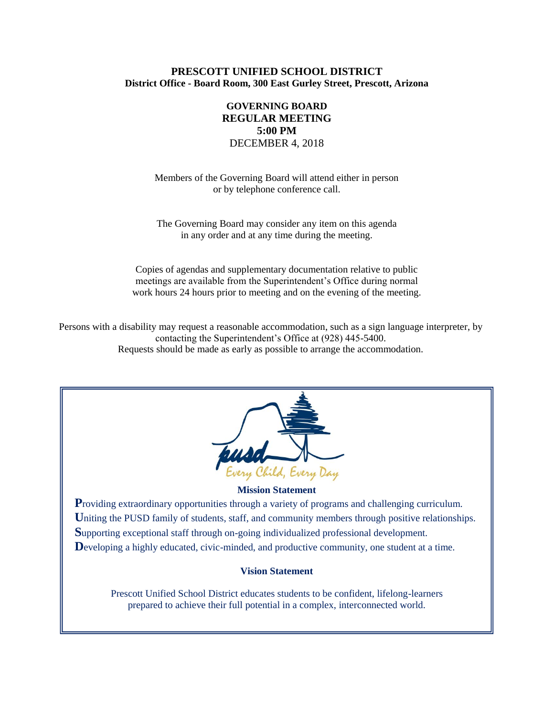### **PRESCOTT UNIFIED SCHOOL DISTRICT District Office - Board Room, 300 East Gurley Street, Prescott, Arizona**

# **GOVERNING BOARD REGULAR MEETING 5:00 PM** DECEMBER 4, 2018

Members of the Governing Board will attend either in person or by telephone conference call.

The Governing Board may consider any item on this agenda in any order and at any time during the meeting.

Copies of agendas and supplementary documentation relative to public meetings are available from the Superintendent's Office during normal work hours 24 hours prior to meeting and on the evening of the meeting.

Persons with a disability may request a reasonable accommodation, such as a sign language interpreter, by contacting the Superintendent's Office at (928) 445-5400. Requests should be made as early as possible to arrange the accommodation.



#### **Mission Statement**

**Providing extraordinary opportunities through a variety of programs and challenging curriculum.** Uniting the PUSD family of students, staff, and community members through positive relationships. **S**upporting exceptional staff through on-going individualized professional development. Developing a highly educated, civic-minded, and productive community, one student at a time.

#### **Vision Statement**

Prescott Unified School District educates students to be confident, lifelong-learners prepared to achieve their full potential in a complex, interconnected world.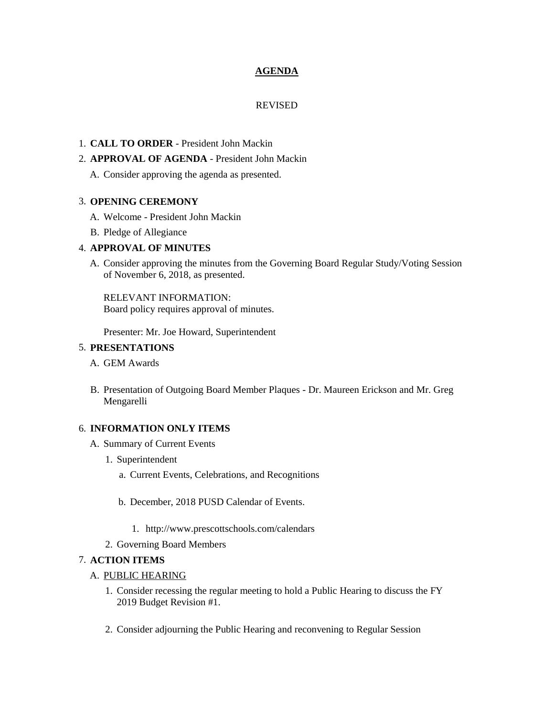### **AGENDA**

### REVISED

### 1. **CALL TO ORDER** - President John Mackin

### 2. **APPROVAL OF AGENDA** - President John Mackin

A. Consider approving the agenda as presented.

### 3. **OPENING CEREMONY**

- A. Welcome President John Mackin
- B. Pledge of Allegiance

## 4. **APPROVAL OF MINUTES**

A. Consider approving the minutes from the Governing Board Regular Study/Voting Session of November 6, 2018, as presented.

RELEVANT INFORMATION: Board policy requires approval of minutes.

Presenter: Mr. Joe Howard, Superintendent

### 5. **PRESENTATIONS**

- A. GEM Awards
- B. Presentation of Outgoing Board Member Plaques Dr. Maureen Erickson and Mr. Greg Mengarelli

### 6. **INFORMATION ONLY ITEMS**

- A. Summary of Current Events
	- 1. Superintendent
		- a. Current Events, Celebrations, and Recognitions
		- b. December, 2018 PUSD Calendar of Events.
			- 1. http://www.prescottschools.com/calendars
	- 2. Governing Board Members

## 7. **ACTION ITEMS**

### A. PUBLIC HEARING

- 1. Consider recessing the regular meeting to hold a Public Hearing to discuss the FY 2019 Budget Revision #1.
- 2. Consider adjourning the Public Hearing and reconvening to Regular Session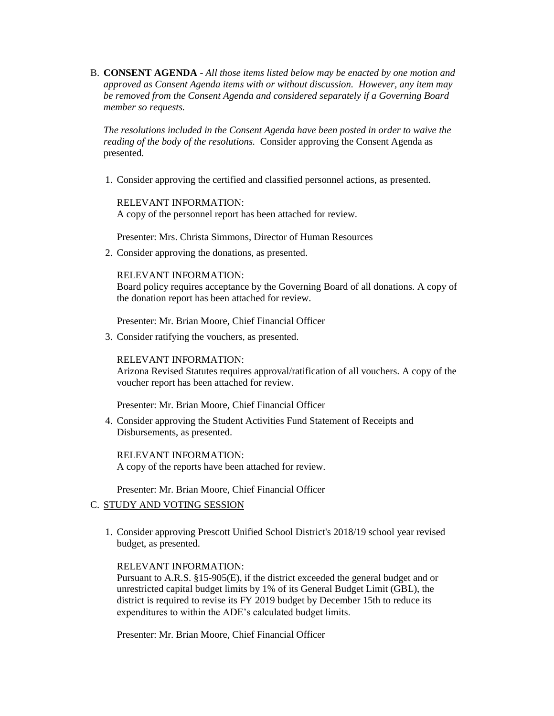B. **CONSENT AGENDA** - *All those items listed below may be enacted by one motion and approved as Consent Agenda items with or without discussion. However, any item may be removed from the Consent Agenda and considered separately if a Governing Board member so requests.*

*The resolutions included in the Consent Agenda have been posted in order to waive the reading of the body of the resolutions.* Consider approving the Consent Agenda as presented.

1. Consider approving the certified and classified personnel actions, as presented.

RELEVANT INFORMATION: A copy of the personnel report has been attached for review.

Presenter: Mrs. Christa Simmons, Director of Human Resources

2. Consider approving the donations, as presented.

#### RELEVANT INFORMATION:

Board policy requires acceptance by the Governing Board of all donations. A copy of the donation report has been attached for review.

Presenter: Mr. Brian Moore, Chief Financial Officer

3. Consider ratifying the vouchers, as presented.

RELEVANT INFORMATION:

Arizona Revised Statutes requires approval/ratification of all vouchers. A copy of the voucher report has been attached for review.

Presenter: Mr. Brian Moore, Chief Financial Officer

4. Consider approving the Student Activities Fund Statement of Receipts and Disbursements, as presented.

RELEVANT INFORMATION: A copy of the reports have been attached for review.

Presenter: Mr. Brian Moore, Chief Financial Officer

#### C. STUDY AND VOTING SESSION

1. Consider approving Prescott Unified School District's 2018/19 school year revised budget, as presented.

#### RELEVANT INFORMATION:

Pursuant to A.R.S. §15-905(E), if the district exceeded the general budget and or unrestricted capital budget limits by 1% of its General Budget Limit (GBL), the district is required to revise its FY 2019 budget by December 15th to reduce its expenditures to within the ADE's calculated budget limits.

Presenter: Mr. Brian Moore, Chief Financial Officer